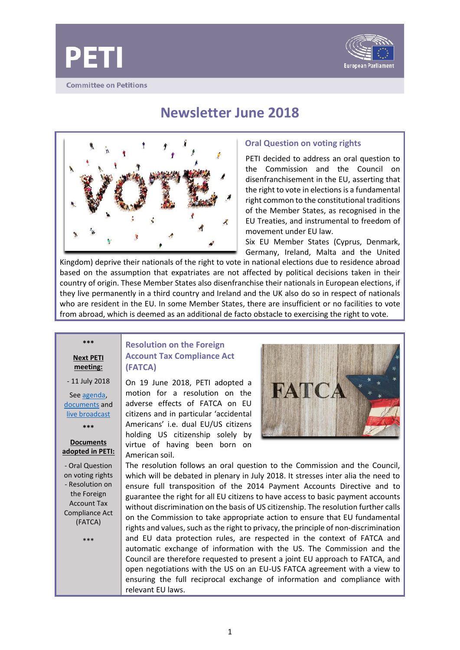



**Newsletter June 2018**



## **Oral Question on voting rights**

PETI decided to address an oral question to the Commission and the Council on disenfranchisement in the EU, asserting that the right to vote in elections is a fundamental right common to the constitutional traditions of the Member States, as recognised in the EU Treaties, and instrumental to freedom of movement under EU law.

Six EU Member States (Cyprus, Denmark, Germany, Ireland, Malta and the United

Kingdom) deprive their nationals of the right to vote in national elections due to residence abroad based on the assumption that expatriates are not affected by political decisions taken in their country of origin. These Member States also disenfranchise their nationals in European elections, if they live permanently in a third country and Ireland and the UK also do so in respect of nationals who are resident in the EU. In some Member States, there are insufficient or no facilities to vote from abroad, which is deemed as an additional de facto obstacle to exercising the right to vote.

**Next PETI meeting:**

**\*\*\***

- 11 July 2018

See [agenda,](http://www.emeeting.europarl.europa.eu/committees/archives/201511/PETI) [documents](http://www.emeeting.europarl.europa.eu/committees/archives/201511/PETI) and [live broadcast](http://www.europarl.europa.eu/ep-live/en/committees/video?event=20170907-0900-COMMITTEE-PETI)

**\*\*\***

### **Documents adopted in PETI:**

- Oral Question on voting rights - Resolution on the Foreign Account Tax Compliance Act (FATCA)

\*\*\*

# **Resolution on the Foreign Account Tax Compliance Act (FATCA)**

On 19 June 2018, PETI adopted a motion for a resolution on the adverse effects of FATCA on EU citizens and in particular 'accidental Americans' i.e. dual EU/US citizens holding US citizenship solely by virtue of having been born on American soil.



The resolution follows an oral question to the Commission and the Council, which will be debated in plenary in July 2018. It stresses inter alia the need to ensure full transposition of the 2014 Payment Accounts Directive and to guarantee the right for all EU citizens to have access to basic payment accounts without discrimination on the basis of US citizenship. The resolution further calls on the Commission to take appropriate action to ensure that EU fundamental rights and values, such as the right to privacy, the principle of non-discrimination and EU data protection rules, are respected in the context of FATCA and automatic exchange of information with the US. The Commission and the Council are therefore requested to present a joint EU approach to FATCA, and open negotiations with the US on an EU-US FATCA agreement with a view to ensuring the full reciprocal exchange of information and compliance with relevant EU laws.